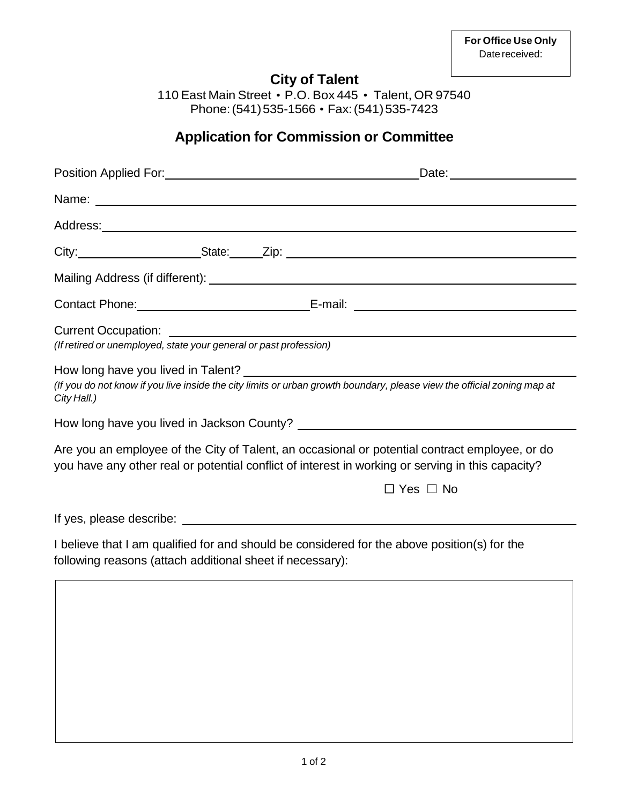## **City of Talent**

110 East Main Street • P.O. Box 445 • Talent, OR 97540 Phone:(541)535-1566 • Fax:(541)535-7423

## **Application for Commission or Committee**

|                                                                   | Name: Name:                                                                                                                                                                                         |
|-------------------------------------------------------------------|-----------------------------------------------------------------------------------------------------------------------------------------------------------------------------------------------------|
|                                                                   |                                                                                                                                                                                                     |
|                                                                   |                                                                                                                                                                                                     |
|                                                                   |                                                                                                                                                                                                     |
|                                                                   |                                                                                                                                                                                                     |
| (If retired or unemployed, state your general or past profession) |                                                                                                                                                                                                     |
| City Hall.)                                                       | (If you do not know if you live inside the city limits or urban growth boundary, please view the official zoning map at                                                                             |
|                                                                   |                                                                                                                                                                                                     |
|                                                                   | Are you an employee of the City of Talent, an occasional or potential contract employee, or do<br>you have any other real or potential conflict of interest in working or serving in this capacity? |
|                                                                   | $\Box$ Yes $\Box$ No                                                                                                                                                                                |
|                                                                   |                                                                                                                                                                                                     |
| following reasons (attach additional sheet if necessary):         | I believe that I am qualified for and should be considered for the above position(s) for the                                                                                                        |
|                                                                   |                                                                                                                                                                                                     |
|                                                                   |                                                                                                                                                                                                     |